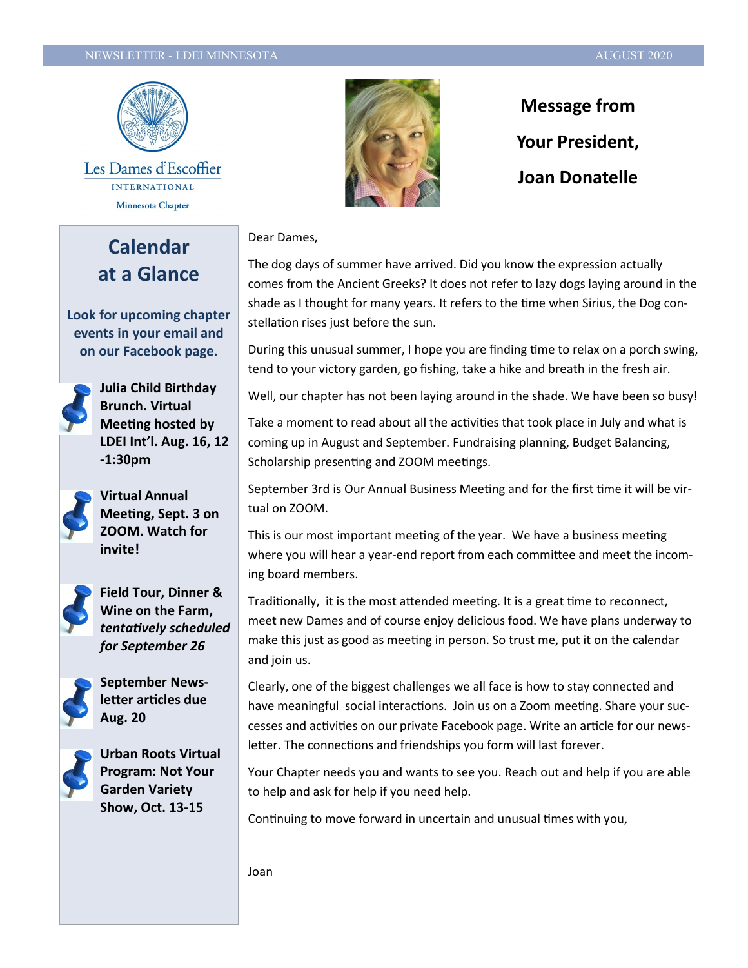#### NEWSLETTER - LDEI MINNESOTA AUGUST 2020 AUGUST 2020



Les Dames d'Escoffier **INTERNATIONAL** Minnesota Chapter

**Calendar at a Glance**

**Look for upcoming chapter events in your email and on our Facebook page.**



**Julia Child Birthday Brunch. Virtual Meeting hosted by LDEI Int'l. Aug. 16, 12 -1:30pm**



**Virtual Annual Meeting, Sept. 3 on ZOOM. Watch for invite!**



**Field Tour, Dinner & Wine on the Farm,**  *tentatively scheduled for September 26* 



**September Newsletter articles due Aug. 20**



**Urban Roots Virtual Program: Not Your Garden Variety Show, Oct. 13-15**



**Message from Your President, Joan Donatelle** 

Dear Dames,

The dog days of summer have arrived. Did you know the expression actually comes from the Ancient Greeks? It does not refer to lazy dogs laying around in the shade as I thought for many years. It refers to the time when Sirius, the Dog constellation rises just before the sun.

During this unusual summer, I hope you are finding time to relax on a porch swing, tend to your victory garden, go fishing, take a hike and breath in the fresh air.

Well, our chapter has not been laying around in the shade. We have been so busy!

Take a moment to read about all the activities that took place in July and what is coming up in August and September. Fundraising planning, Budget Balancing, Scholarship presenting and ZOOM meetings.

September 3rd is Our Annual Business Meeting and for the first time it will be virtual on ZOOM.

This is our most important meeting of the year. We have a business meeting where you will hear a year-end report from each committee and meet the incoming board members.

Traditionally, it is the most attended meeting. It is a great time to reconnect, meet new Dames and of course enjoy delicious food. We have plans underway to make this just as good as meeting in person. So trust me, put it on the calendar and join us.

Clearly, one of the biggest challenges we all face is how to stay connected and have meaningful social interactions. Join us on a Zoom meeting. Share your successes and activities on our private Facebook page. Write an article for our newsletter. The connections and friendships you form will last forever.

Your Chapter needs you and wants to see you. Reach out and help if you are able to help and ask for help if you need help.

Continuing to move forward in uncertain and unusual times with you,

Joan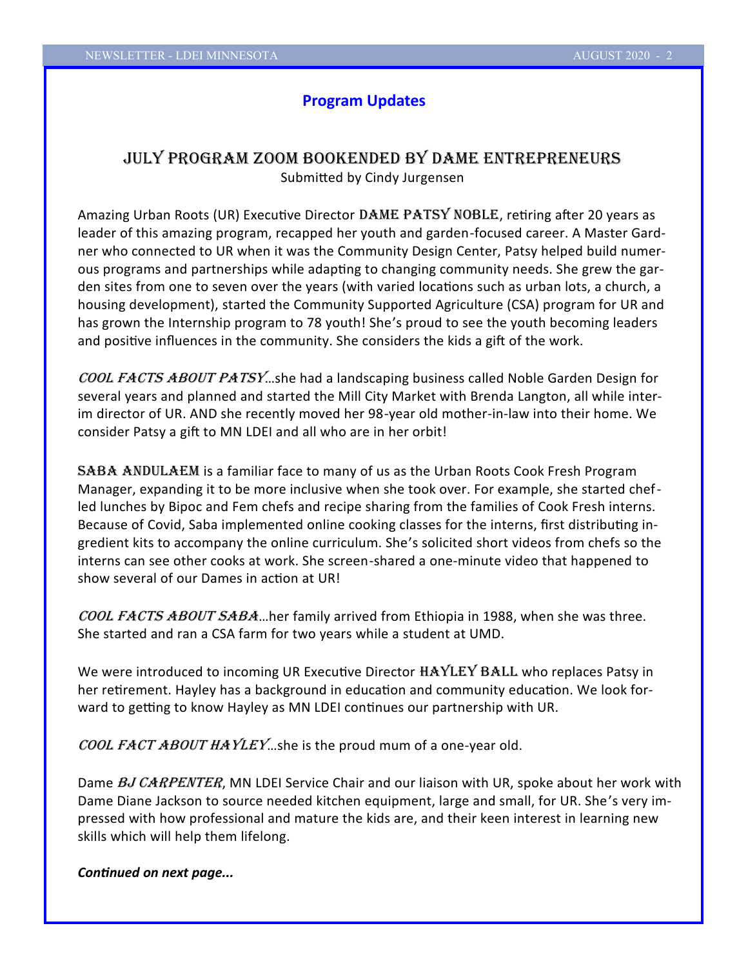### **Program Updates**

# July Program Zoom bookended by Dame Entrepreneurs

Submitted by Cindy Jurgensen

Amazing Urban Roots (UR) Executive Director DAME PATSY NOBLE, retiring after 20 years as leader of this amazing program, recapped her youth and garden-focused career. A Master Gardner who connected to UR when it was the Community Design Center, Patsy helped build numerous programs and partnerships while adapting to changing community needs. She grew the garden sites from one to seven over the years (with varied locations such as urban lots, a church, a housing development), started the Community Supported Agriculture (CSA) program for UR and has grown the Internship program to 78 youth! She's proud to see the youth becoming leaders and positive influences in the community. She considers the kids a gift of the work.

COOL FACTS ABOUT PATSY...she had a landscaping business called Noble Garden Design for several years and planned and started the Mill City Market with Brenda Langton, all while interim director of UR. AND she recently moved her 98-year old mother-in-law into their home. We consider Patsy a gift to MN LDEI and all who are in her orbit!

**SABA ANDULAEM** is a familiar face to many of us as the Urban Roots Cook Fresh Program Manager, expanding it to be more inclusive when she took over. For example, she started chefled lunches by Bipoc and Fem chefs and recipe sharing from the families of Cook Fresh interns. Because of Covid, Saba implemented online cooking classes for the interns, first distributing ingredient kits to accompany the online curriculum. She's solicited short videos from chefs so the interns can see other cooks at work. She screen-shared a one-minute video that happened to show several of our Dames in action at UR!

COOL FACTS ABOUT SABA...her family arrived from Ethiopia in 1988, when she was three. She started and ran a CSA farm for two years while a student at UMD.

We were introduced to incoming UR Executive Director HAYLEY BALL who replaces Patsy in her retirement. Hayley has a background in education and community education. We look forward to getting to know Hayley as MN LDEI continues our partnership with UR.

COOL FACT ABOUT HAYLEY...she is the proud mum of a one-year old.

Dame BJ CARPENTER, MN LDEI Service Chair and our liaison with UR, spoke about her work with Dame Diane Jackson to source needed kitchen equipment, large and small, for UR. She's very impressed with how professional and mature the kids are, and their keen interest in learning new skills which will help them lifelong.

*Continued on next page...*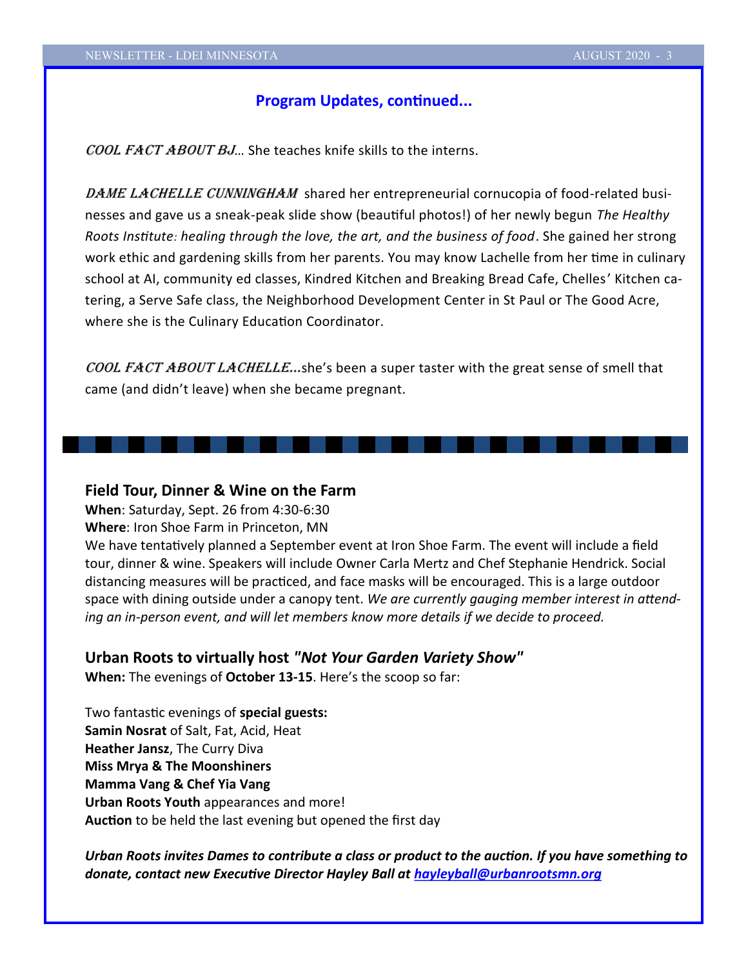### **Program Updates, continued...**

COOL FACT ABOUT BJ... She teaches knife skills to the interns.

DAME LACHELLE CUNNINGHAM shared her entrepreneurial cornucopia of food-related businesses and gave us a sneak-peak slide show (beautiful photos!) of her newly begun *The Healthy Roots Institute: healing through the love, the art, and the business of food*. She gained her strong work ethic and gardening skills from her parents. You may know Lachelle from her time in culinary school at AI, community ed classes, Kindred Kitchen and Breaking Bread Cafe, Chelles' Kitchen catering, a Serve Safe class, the Neighborhood Development Center in St Paul or The Good Acre, where she is the Culinary Education Coordinator.

COOL FACT ABOUT LACHELLE...she's been a super taster with the great sense of smell that came (and didn't leave) when she became pregnant.

#### **Field Tour, Dinner & Wine on the Farm**

**When**: Saturday, Sept. 26 from 4:30-6:30

**Where**: Iron Shoe Farm in Princeton, MN

We have tentatively planned a September event at Iron Shoe Farm. The event will include a field tour, dinner & wine. Speakers will include Owner Carla Mertz and Chef Stephanie Hendrick. Social distancing measures will be practiced, and face masks will be encouraged. This is a large outdoor space with dining outside under a canopy tent. *We are currently gauging member interest in attending an in-person event, and will let members know more details if we decide to proceed.*

#### **Urban Roots to virtually host** *"Not Your Garden Variety Show"*

**When:** The evenings of **October 13-15**. Here's the scoop so far:

Two fantastic evenings of **special guests: Samin Nosrat** of Salt, Fat, Acid, Heat **Heather Jansz**, The Curry Diva **Miss Mrya & The Moonshiners Mamma Vang & Chef Yia Vang Urban Roots Youth** appearances and more! **Auction** to be held the last evening but opened the first day

*Urban Roots invites Dames to contribute a class or product to the auction. If you have something to donate, contact new Executive Director Hayley Ball at [hayleyball@urbanrootsmn.org](mailto:hayleyball@urbanrootsmn.org)*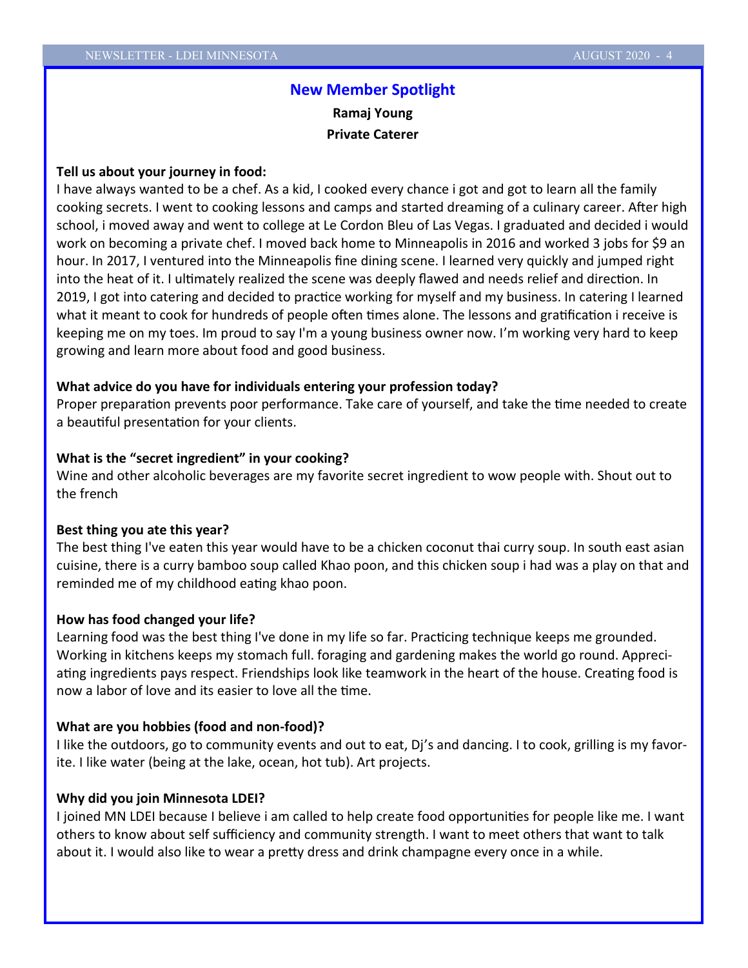# **New Member Spotlight Ramaj Young Private Caterer**

#### **Tell us about your journey in food:**

I have always wanted to be a chef. As a kid, I cooked every chance i got and got to learn all the family cooking secrets. I went to cooking lessons and camps and started dreaming of a culinary career. After high school, i moved away and went to college at Le Cordon Bleu of Las Vegas. I graduated and decided i would work on becoming a private chef. I moved back home to Minneapolis in 2016 and worked 3 jobs for \$9 an hour. In 2017, I ventured into the Minneapolis fine dining scene. I learned very quickly and jumped right into the heat of it. I ultimately realized the scene was deeply flawed and needs relief and direction. In 2019, I got into catering and decided to practice working for myself and my business. In catering I learned what it meant to cook for hundreds of people often times alone. The lessons and gratification i receive is keeping me on my toes. Im proud to say I'm a young business owner now. I'm working very hard to keep growing and learn more about food and good business.

#### **What advice do you have for individuals entering your profession today?**

Proper preparation prevents poor performance. Take care of yourself, and take the time needed to create a beautiful presentation for your clients.

#### **What is the "secret ingredient" in your cooking?**

Wine and other alcoholic beverages are my favorite secret ingredient to wow people with. Shout out to the french

#### **Best thing you ate this year?**

The best thing I've eaten this year would have to be a chicken coconut thai curry soup. In south east asian cuisine, there is a curry bamboo soup called Khao poon, and this chicken soup i had was a play on that and reminded me of my childhood eating khao poon.

#### **How has food changed your life?**

Learning food was the best thing I've done in my life so far. Practicing technique keeps me grounded. Working in kitchens keeps my stomach full. foraging and gardening makes the world go round. Appreciating ingredients pays respect. Friendships look like teamwork in the heart of the house. Creating food is now a labor of love and its easier to love all the time.

#### **What are you hobbies (food and non-food)?**

I like the outdoors, go to community events and out to eat, Dj's and dancing. I to cook, grilling is my favorite. I like water (being at the lake, ocean, hot tub). Art projects.

#### **Why did you join Minnesota LDEI?**

I joined MN LDEI because I believe i am called to help create food opportunities for people like me. I want others to know about self sufficiency and community strength. I want to meet others that want to talk about it. I would also like to wear a pretty dress and drink champagne every once in a while.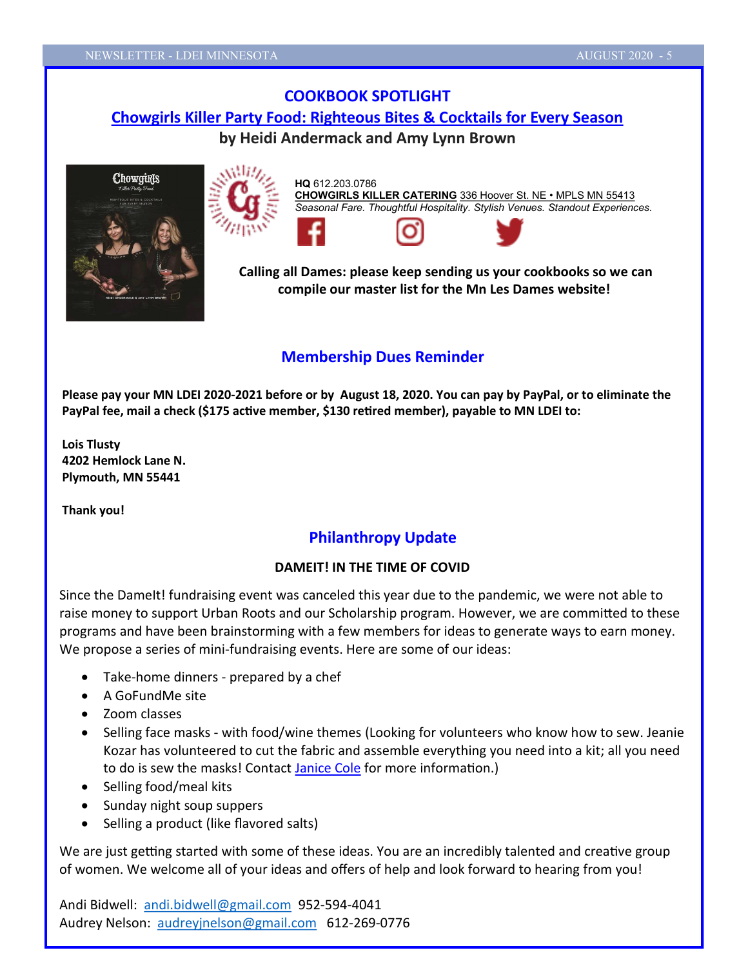# **COOKBOOK SPOTLIGHT [Chowgirls Killer Party Food: Righteous Bites & Cocktails for Every Season](https://www.amazon.com/Chowgirls-Killer-Party-Food-Righteous-ebook/dp/B01LWO83MV/ref=sr_1_1?dchild=1&keywords=chowgirls+killer+party+food&qid=1594072573&sr=8-1) by Heidi Andermack and Amy Lynn Brown**





**HQ** 612.203.0786 **[CHOWGIRLS KILLER CATERING](http://www.chowgirls.net/)** [336 Hoover St. NE](https://www.google.com/maps/place/Chowgirls+Killer+Catering/@44.9927274,-93.2180891,15z/data=!4m2!3m1!1s0x0:0x8128fdeef343f3b3?sa=X&ved=0ahUKEwiVg4WsoKPXAhXm4IMKHc40A2YQ_BIInwEwDQ) • MPLS MN 55413 *Seasonal Fare. Thoughtful Hospitality. Stylish Venues. Standout Experiences.*

**Calling all Dames: please keep sending us your cookbooks so we can compile our master list for the Mn Les Dames website!**

## **Membership Dues Reminder**

**Please pay your MN LDEI 2020-2021 before or by August 18, 2020. You can pay by PayPal, or to eliminate the PayPal fee, mail a check (\$175 active member, \$130 retired member), payable to MN LDEI to:**

**Lois Tlusty 4202 Hemlock Lane N. Plymouth, MN 55441**

**Thank you!**

# **Philanthropy Update**

### **DAMEIT! IN THE TIME OF COVID**

Since the DameIt! fundraising event was canceled this year due to the pandemic, we were not able to raise money to support Urban Roots and our Scholarship program. However, we are committed to these programs and have been brainstorming with a few members for ideas to generate ways to earn money. We propose a series of mini-fundraising events. Here are some of our ideas:

- Take-home dinners prepared by a chef
- A GoFundMe site
- Zoom classes
- Selling face masks with food/wine themes (Looking for volunteers who know how to sew. Jeanie Kozar has volunteered to cut the fabric and assemble everything you need into a kit; all you need to do is sew the masks! Contact [Janice Cole](mailto:janicecole@comcast.net) for more information.)
- Selling food/meal kits
- Sunday night soup suppers
- Selling a product (like flavored salts)

We are just getting started with some of these ideas. You are an incredibly talented and creative group of women. We welcome all of your ideas and offers of help and look forward to hearing from you!

Andi Bidwell: [andi.bidwell@gmail.com](mailto:andi.bidwell@gmail.com) 952-594-4041 Audrey Nelson: [audreyjnelson@gmail.com](mailto:audreyjnelson@gmail.com) 612-269-0776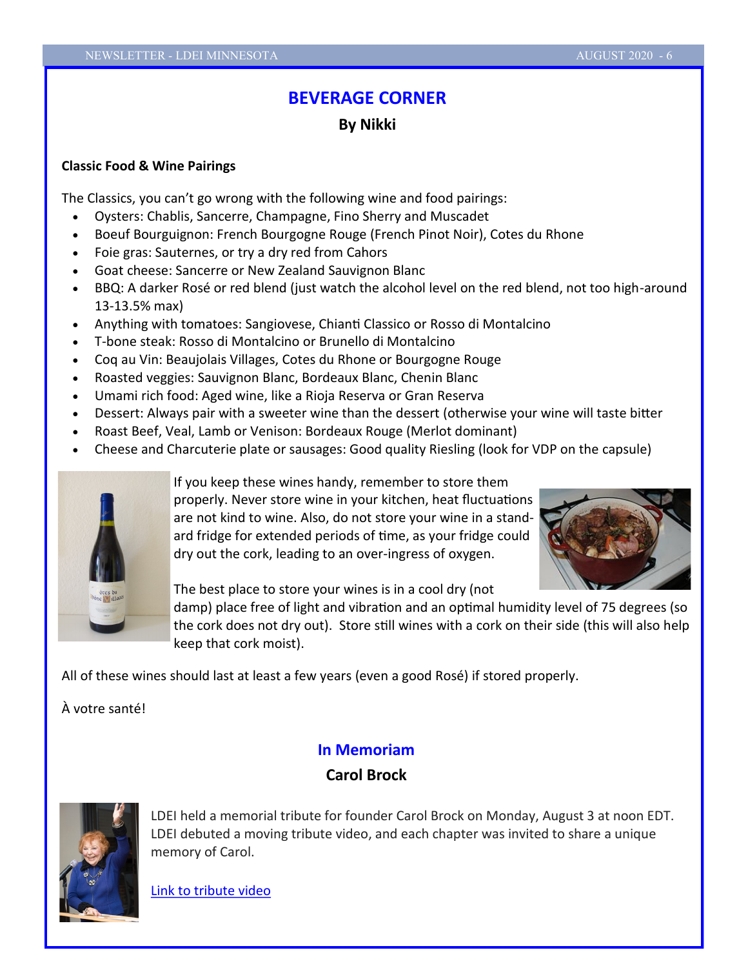# **BEVERAGE CORNER**

## **By Nikki**

### **Classic Food & Wine Pairings**

The Classics, you can't go wrong with the following wine and food pairings:

- Oysters: Chablis, Sancerre, Champagne, Fino Sherry and Muscadet
- Boeuf Bourguignon: French Bourgogne Rouge (French Pinot Noir), Cotes du Rhone
- Foie gras: Sauternes, or try a dry red from Cahors
- Goat cheese: Sancerre or New Zealand Sauvignon Blanc
- BBQ: A darker Rosé or red blend (just watch the alcohol level on the red blend, not too high-around 13-13.5% max)
- Anything with tomatoes: Sangiovese, Chianti Classico or Rosso di Montalcino
- T-bone steak: Rosso di Montalcino or Brunello di Montalcino
- Coq au Vin: Beaujolais Villages, Cotes du Rhone or Bourgogne Rouge
- Roasted veggies: Sauvignon Blanc, Bordeaux Blanc, Chenin Blanc
- Umami rich food: Aged wine, like a Rioja Reserva or Gran Reserva
- Dessert: Always pair with a sweeter wine than the dessert (otherwise your wine will taste bitter
- Roast Beef, Veal, Lamb or Venison: Bordeaux Rouge (Merlot dominant)
- Cheese and Charcuterie plate or sausages: Good quality Riesling (look for VDP on the capsule)



If you keep these wines handy, remember to store them

properly. Never store wine in your kitchen, heat fluctuations are not kind to wine. Also, do not store your wine in a standard fridge for extended periods of time, as your fridge could dry out the cork, leading to an over-ingress of oxygen.



The best place to store your wines is in a cool dry (not

damp) place free of light and vibration and an optimal humidity level of 75 degrees (so the cork does not dry out). Store still wines with a cork on their side (this will also help keep that cork moist).

All of these wines should last at least a few years (even a good Rosé) if stored properly.

À votre santé!

# **In Memoriam**

# **Carol Brock**



LDEI held a memorial tribute for founder Carol Brock on Monday, August 3 at noon EDT. LDEI debuted a moving tribute video, and each chapter was invited to share a unique memory of Carol.

[Link to tribute video](https://www.youtube.com/watch?v=lb76GALk7Gg&feature=youtu.be)